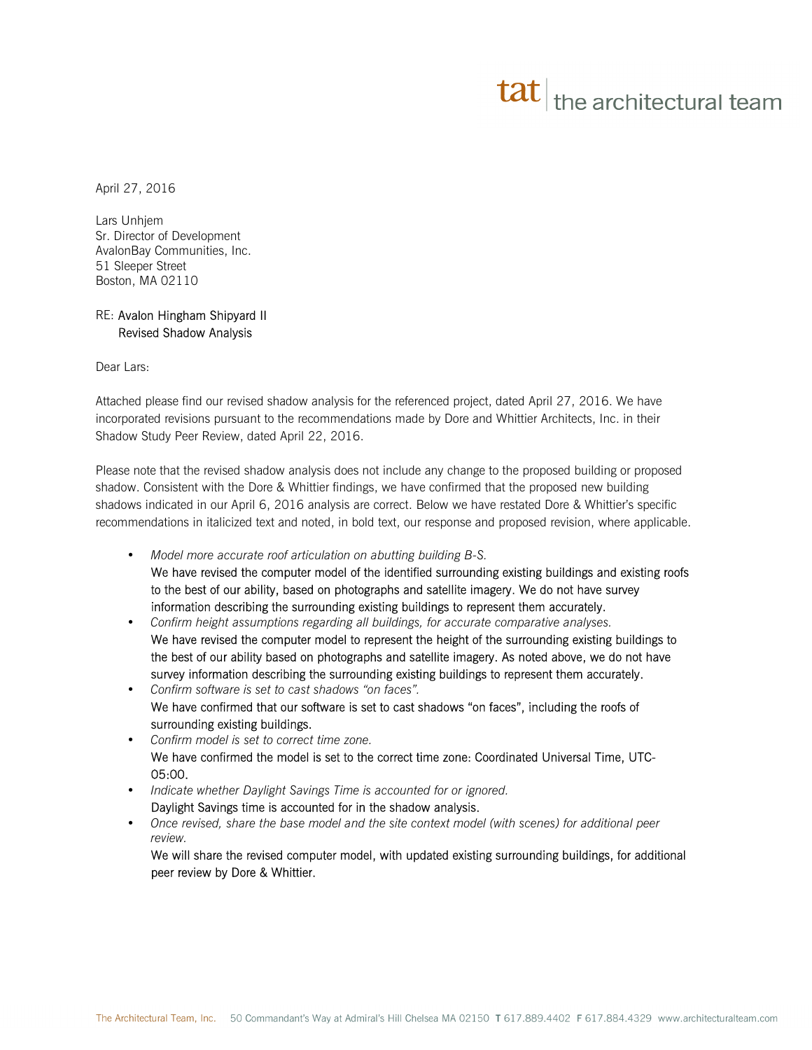## $\mathbf{t}$  the architectural team

April 27, 2016

Lars Unhjem Sr. Director of Development AvalonBay Communities, Inc. 51 Sleeper Street Boston, MA 02110

## RE: Avalon Hingham Shipyard II Revised Shadow Analysis

Dear Lars:

Attached please find our revised shadow analysis for the referenced project, dated April 27, 2016. We have incorporated revisions pursuant to the recommendations made by Dore and Whittier Architects, Inc. in their Shadow Study Peer Review, dated April 22, 2016.

Please note that the revised shadow analysis does not include any change to the proposed building or proposed shadow. Consistent with the Dore & Whittier findings, we have confirmed that the proposed new building shadows indicated in our April 6, 2016 analysis are correct. Below we have restated Dore & Whittier's specific recommendations in italicized text and noted, in bold text, our response and proposed revision, where applicable.

- *Model more accurate roof articulation on abutting building B-S.*  We have revised the computer model of the identified surrounding existing buildings and existing roofs to the best of our ability, based on photographs and satellite imagery. We do not have survey information describing the surrounding existing buildings to represent them accurately.
- *Confirm height assumptions regarding all buildings, for accurate comparative analyses.*  We have revised the computer model to represent the height of the surrounding existing buildings to the best of our ability based on photographs and satellite imagery. As noted above, we do not have survey information describing the surrounding existing buildings to represent them accurately.
- *Confirm software is set to cast shadows "on faces".* We have confirmed that our software is set to cast shadows "on faces", including the roofs of surrounding existing buildings.
- *Confirm model is set to correct time zone.*  We have confirmed the model is set to the correct time zone: Coordinated Universal Time, UTC-05:00.
- *Indicate whether Daylight Savings Time is accounted for or ignored.*  Daylight Savings time is accounted for in the shadow analysis.
- *Once revised, share the base model and the site context model (with scenes) for additional peer review.*

We will share the revised computer model, with updated existing surrounding buildings, for additional peer review by Dore & Whittier.